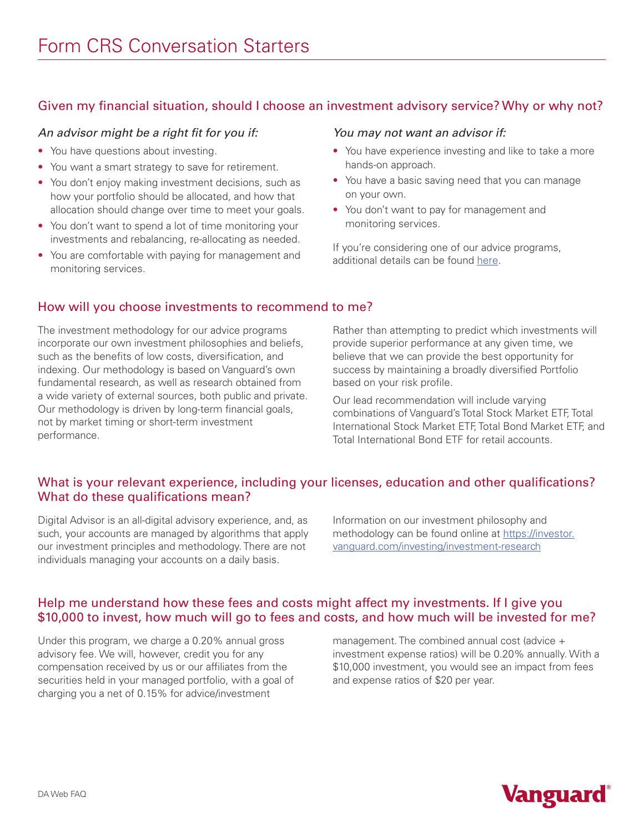# Given my financial situation, should I choose an investment advisory service? Why or why not?

### *An advisor might be a right fit for you if:*

- You have questions about investing.
- You want a smart strategy to save for retirement.
- You don't enjoy making investment decisions, such as how your portfolio should be allocated, and how that allocation should change over time to meet your goals.
- You don't want to spend a lot of time monitoring your investments and rebalancing, re-allocating as needed.
- You are comfortable with paying for management and monitoring services.

### *You may not want an advisor if:*

- You have experience investing and like to take a more hands-on approach.
- You have a basic saving need that you can manage on your own.
- You don't want to pay for management and monitoring services.

If you're considering one of our advice programs, additional details can be found [here.](https://investor.vanguard.com/financial-advisor/compare-financial-advice)

# How will you choose investments to recommend to me?

The investment methodology for our advice programs incorporate our own investment philosophies and beliefs, such as the benefits of low costs, diversification, and indexing. Our methodology is based on Vanguard's own fundamental research, as well as research obtained from a wide variety of external sources, both public and private. Our methodology is driven by long-term financial goals, not by market timing or short-term investment performance.

Rather than attempting to predict which investments will provide superior performance at any given time, we believe that we can provide the best opportunity for success by maintaining a broadly diversified Portfolio based on your risk profile.

Our lead recommendation will include varying combinations of Vanguard's Total Stock Market ETF, Total International Stock Market ETF, Total Bond Market ETF, and Total International Bond ETF for retail accounts.

## What is your relevant experience, including your licenses, education and other qualifications? What do these qualifications mean?

Digital Advisor is an all-digital advisory experience, and, as such, your accounts are managed by algorithms that apply our investment principles and methodology. There are not individuals managing your accounts on a daily basis.

Information on our investment philosophy and methodology can be found online at [https://investor.](https://investor.vanguard.com/investing/investment-research) [vanguard.com/investing/investment-research](https://investor.vanguard.com/investing/investment-research)

## Help me understand how these fees and costs might affect my investments. If I give you \$10,000 to invest, how much will go to fees and costs, and how much will be invested for me?

Under this program, we charge a 0.20% annual gross advisory fee. We will, however, credit you for any compensation received by us or our affiliates from the securities held in your managed portfolio, with a goal of charging you a net of 0.15% for advice/investment

management. The combined annual cost (advice + investment expense ratios) will be 0.20% annually. With a \$10,000 investment, you would see an impact from fees and expense ratios of \$20 per year.